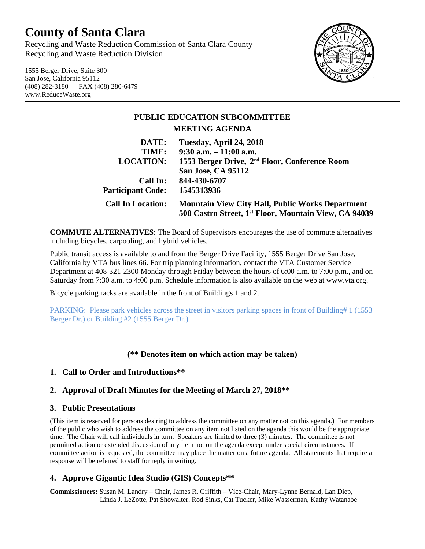# **County of Santa Clara**

Recycling and Waste Reduction Commission of Santa Clara County Recycling and Waste Reduction Division

1555 Berger Drive, Suite 300 San Jose, California 95112 (408) 282-3180 FAX (408) 280-6479 www.ReduceWaste.org



# **PUBLIC EDUCATION SUBCOMMITTEE MEETING AGENDA**

| DATE:                    | Tuesday, April 24, 2018                                                                                          |
|--------------------------|------------------------------------------------------------------------------------------------------------------|
| TIME:                    | $9:30$ a.m. $-11:00$ a.m.                                                                                        |
| <b>LOCATION:</b>         | 1553 Berger Drive, 2 <sup>rd</sup> Floor, Conference Room                                                        |
|                          | <b>San Jose, CA 95112</b>                                                                                        |
| Call In:                 | 844-430-6707                                                                                                     |
| <b>Participant Code:</b> | 1545313936                                                                                                       |
| <b>Call In Location:</b> | <b>Mountain View City Hall, Public Works Department</b><br>500 Castro Street, 1st Floor, Mountain View, CA 94039 |
|                          |                                                                                                                  |

**COMMUTE ALTERNATIVES:** The Board of Supervisors encourages the use of commute alternatives including bicycles, carpooling, and hybrid vehicles.

Public transit access is available to and from the Berger Drive Facility, 1555 Berger Drive San Jose, California by VTA bus lines 66. For trip planning information, contact the VTA Customer Service Department at 408-321-2300 Monday through Friday between the hours of 6:00 a.m. to 7:00 p.m., and on Saturday from 7:30 a.m. to 4:00 p.m. Schedule information is also available on the web at [www.vta.org.](http://www.vta.org/)

Bicycle parking racks are available in the front of Buildings 1 and 2.

PARKING: Please park vehicles across the street in visitors parking spaces in front of Building# 1 (1553 Berger Dr.) or Building #2 (1555 Berger Dr.).

## **(\*\* Denotes item on which action may be taken)**

#### **1. Call to Order and Introductions\*\***

#### **2. Approval of Draft Minutes for the Meeting of March 27, 2018\*\***

#### **3. Public Presentations**

(This item is reserved for persons desiring to address the committee on any matter not on this agenda.) For members of the public who wish to address the committee on any item not listed on the agenda this would be the appropriate time. The Chair will call individuals in turn. Speakers are limited to three (3) minutes. The committee is not permitted action or extended discussion of any item not on the agenda except under special circumstances. If committee action is requested, the committee may place the matter on a future agenda. All statements that require a response will be referred to staff for reply in writing.

## **4. Approve Gigantic Idea Studio (GIS) Concepts\*\***

**Commissioners:** Susan M. Landry – Chair, James R. Griffith – Vice-Chair, Mary-Lynne Bernald, Lan Diep, Linda J. LeZotte, Pat Showalter, Rod Sinks, Cat Tucker, Mike Wasserman, Kathy Watanabe